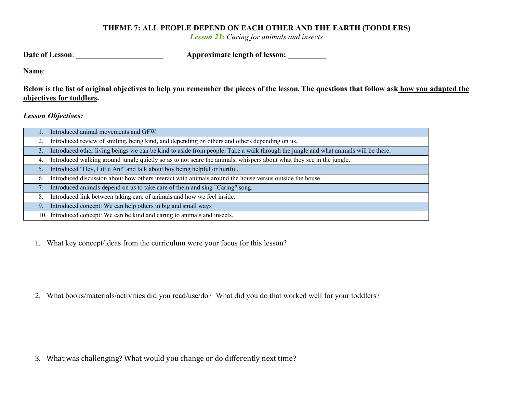## THEME 7: ALL PEOPLE DEPEND ON EACH OTHER AND THE EARTH (TODDLERS)

Lesson 21: Caring for animals and insects

| <b>Approximate length of lesson:</b> |
|--------------------------------------|
|                                      |

Name: \_\_\_\_\_\_\_\_\_\_\_\_\_\_\_\_\_\_\_\_\_\_\_\_\_\_\_\_\_\_\_\_\_\_

Below is the list of original objectives to help you remember the pieces of the lesson. The questions that follow ask how you adapted the objectives for toddlers.

Lesson Objectives:

|    | Introduced animal movements and GFW.                                                                                               |
|----|------------------------------------------------------------------------------------------------------------------------------------|
| 2. | Introduced review of smiling, being kind, and depending on others and others depending on us.                                      |
| 3. | Introduced other living beings we can be kind to aside from people. Take a walk through the jungle and what animals will be there. |
| 4. | Introduced walking around jungle quietly so as to not scare the animals, whispers about what they see in the jungle.               |
|    | 5. Introduced "Hey, Little Ant" and talk about boy being helpful or hurtful.                                                       |
| 6. | Introduced discussion about how others interact with animals around the house versus outside the house.                            |
| 7. | Introduced animals depend on us to take care of them and sing "Caring" song.                                                       |
| 8. | Introduced link between taking care of animals and how we feel inside.                                                             |
| 9. | Introduced concept: We can help others in big and small ways                                                                       |
|    | 10. Introduced concept: We can be kind and caring to animals and insects.                                                          |

1. What key concept/ideas from the curriculum were your focus for this lesson?

2. What books/materials/activities did you read/use/do? What did you do that worked well for your toddlers?

3. What was challenging? What would you change or do differently next time?